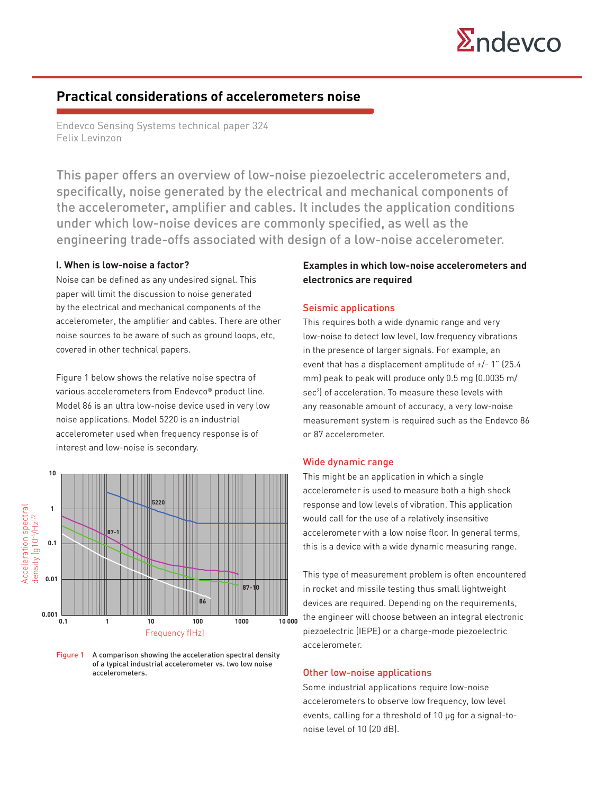

# **Practical considerations of accelerometers noise**

Endevco Sensing Systems technical paper 324 Felix Levinzon

This paper offers an overview of low-noise piezoelectric accelerometers and, specifically, noise generated by the electrical and mechanical components of the accelerometer, amplifier and cables. It includes the application conditions under which low-noise devices are commonly specified, as well as the engineering trade-offs associated with design of a low-noise accelerometer.

# **I. When is low-noise a factor?**

Noise can be defined as any undesired signal. This paper will limit the discussion to noise generated by the electrical and mechanical components of the accelerometer, the amplifier and cables. There are other noise sources to be aware of such as ground loops, etc, covered in other technical papers.

Figure 1 below shows the relative noise spectra of various accelerometers from Endevco® product line. Model 86 is an ultra low-noise device used in very low noise applications. Model 5220 is an industrial accelerometer used when frequency response is of interest and low-noise is secondary.



Figure 1 A comparison showing the acceleration spectral density of a typical industrial accelerometer vs. two low noise accelerometers.

# **Examples in which low-noise accelerometers and electronics are required**

# Seismic applications

This requires both a wide dynamic range and very low-noise to detect low level, low frequency vibrations in the presence of larger signals. For example, an event that has a displacement amplitude of +/- 1" (25.4 mm) peak to peak will produce only 0.5 mg (0.0035 m/ sec2 ) of acceleration. To measure these levels with any reasonable amount of accuracy, a very low-noise measurement system is required such as the Endevco 86 or 87 accelerometer.

### Wide dynamic range

This might be an application in which a single accelerometer is used to measure both a high shock response and low levels of vibration. This application would call for the use of a relatively insensitive accelerometer with a low noise floor. In general terms, this is a device with a wide dynamic measuring range.

This type of measurement problem is often encountered in rocket and missile testing thus small lightweight devices are required. Depending on the requirements, the engineer will choose between an integral electronic piezoelectric (IEPE) or a charge-mode piezoelectric accelerometer.

# Other low-noise applications

Some industrial applications require low-noise accelerometers to observe low frequency, low level events, calling for a threshold of 10 µg for a signal-tonoise level of 10 (20 dB).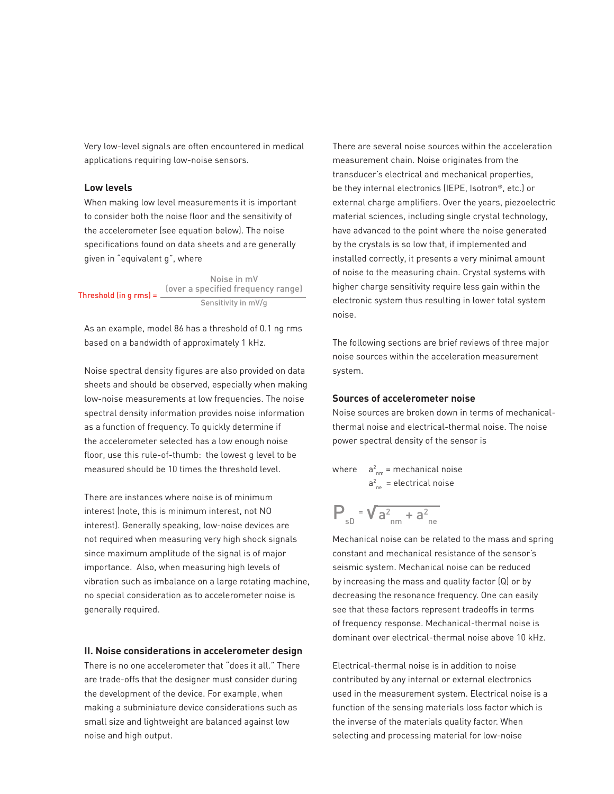Very low-level signals are often encountered in medical applications requiring low-noise sensors.

# **Low levels**

When making low level measurements it is important to consider both the noise floor and the sensitivity of the accelerometer (see equation below). The noise specifications found on data sheets and are generally given in "equivalent g", where

Noise in mV (over a specified frequency range) Threshold (in g rms) =  $\frac{1000 \text{ N}}{3}$  Sensitivity in mV/g

As an example, model 86 has a threshold of 0.1 ng rms based on a bandwidth of approximately 1 kHz.

Noise spectral density figures are also provided on data sheets and should be observed, especially when making low-noise measurements at low frequencies. The noise spectral density information provides noise information as a function of frequency. To quickly determine if the accelerometer selected has a low enough noise floor, use this rule-of-thumb: the lowest g level to be measured should be 10 times the threshold level.

There are instances where noise is of minimum interest (note, this is minimum interest, not NO interest). Generally speaking, low-noise devices are not required when measuring very high shock signals since maximum amplitude of the signal is of major importance. Also, when measuring high levels of vibration such as imbalance on a large rotating machine, no special consideration as to accelerometer noise is generally required.

# **II. Noise considerations in accelerometer design**

There is no one accelerometer that "does it all." There are trade-offs that the designer must consider during the development of the device. For example, when making a subminiature device considerations such as small size and lightweight are balanced against low noise and high output.

There are several noise sources within the acceleration measurement chain. Noise originates from the transducer's electrical and mechanical properties, be they internal electronics (IEPE, Isotron®, etc.) or external charge amplifiers. Over the years, piezoelectric material sciences, including single crystal technology, have advanced to the point where the noise generated by the crystals is so low that, if implemented and installed correctly, it presents a very minimal amount of noise to the measuring chain. Crystal systems with higher charge sensitivity require less gain within the electronic system thus resulting in lower total system noise.

The following sections are brief reviews of three major noise sources within the acceleration measurement system.

#### **Sources of accelerometer noise**

Noise sources are broken down in terms of mechanicalthermal noise and electrical-thermal noise. The noise power spectral density of the sensor is

where  $a_{nm}^2$  = mechanical noise  $a_{\text{ne}}^2$  = electrical noise

$$
P_{\rm sD} = \sqrt{a_{\rm nm}^2 + a_{\rm ne}^2}
$$

Mechanical noise can be related to the mass and spring constant and mechanical resistance of the sensor's seismic system. Mechanical noise can be reduced by increasing the mass and quality factor (Q) or by decreasing the resonance frequency. One can easily see that these factors represent tradeoffs in terms of frequency response. Mechanical-thermal noise is dominant over electrical-thermal noise above 10 kHz.

Electrical-thermal noise is in addition to noise contributed by any internal or external electronics used in the measurement system. Electrical noise is a function of the sensing materials loss factor which is the inverse of the materials quality factor. When selecting and processing material for low-noise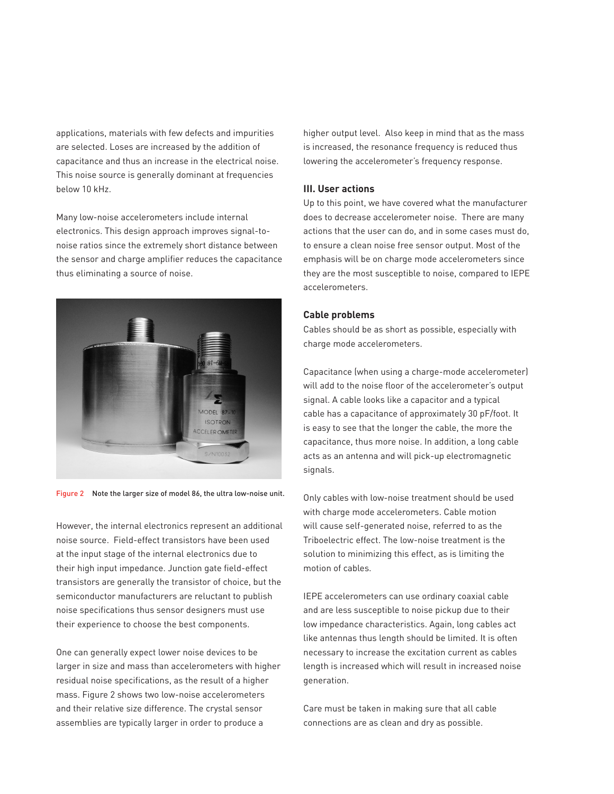applications, materials with few defects and impurities are selected. Loses are increased by the addition of capacitance and thus an increase in the electrical noise. This noise source is generally dominant at frequencies below 10 kHz.

Many low-noise accelerometers include internal electronics. This design approach improves signal-tonoise ratios since the extremely short distance between the sensor and charge amplifier reduces the capacitance thus eliminating a source of noise.



Figure 2 Note the larger size of model 86, the ultra low-noise unit.

However, the internal electronics represent an additional noise source. Field-effect transistors have been used at the input stage of the internal electronics due to their high input impedance. Junction gate field-effect transistors are generally the transistor of choice, but the semiconductor manufacturers are reluctant to publish noise specifications thus sensor designers must use their experience to choose the best components.

One can generally expect lower noise devices to be larger in size and mass than accelerometers with higher residual noise specifications, as the result of a higher mass. Figure 2 shows two low-noise accelerometers and their relative size difference. The crystal sensor assemblies are typically larger in order to produce a

higher output level. Also keep in mind that as the mass is increased, the resonance frequency is reduced thus lowering the accelerometer's frequency response.

#### **III. User actions**

Up to this point, we have covered what the manufacturer does to decrease accelerometer noise. There are many actions that the user can do, and in some cases must do, to ensure a clean noise free sensor output. Most of the emphasis will be on charge mode accelerometers since they are the most susceptible to noise, compared to IEPE accelerometers.

#### **Cable problems**

Cables should be as short as possible, especially with charge mode accelerometers.

Capacitance (when using a charge-mode accelerometer) will add to the noise floor of the accelerometer's output signal. A cable looks like a capacitor and a typical cable has a capacitance of approximately 30 pF/foot. It is easy to see that the longer the cable, the more the capacitance, thus more noise. In addition, a long cable acts as an antenna and will pick-up electromagnetic signals.

Only cables with low-noise treatment should be used with charge mode accelerometers. Cable motion will cause self-generated noise, referred to as the Triboelectric effect. The low-noise treatment is the solution to minimizing this effect, as is limiting the motion of cables.

IEPE accelerometers can use ordinary coaxial cable and are less susceptible to noise pickup due to their low impedance characteristics. Again, long cables act like antennas thus length should be limited. It is often necessary to increase the excitation current as cables length is increased which will result in increased noise generation.

Care must be taken in making sure that all cable connections are as clean and dry as possible.